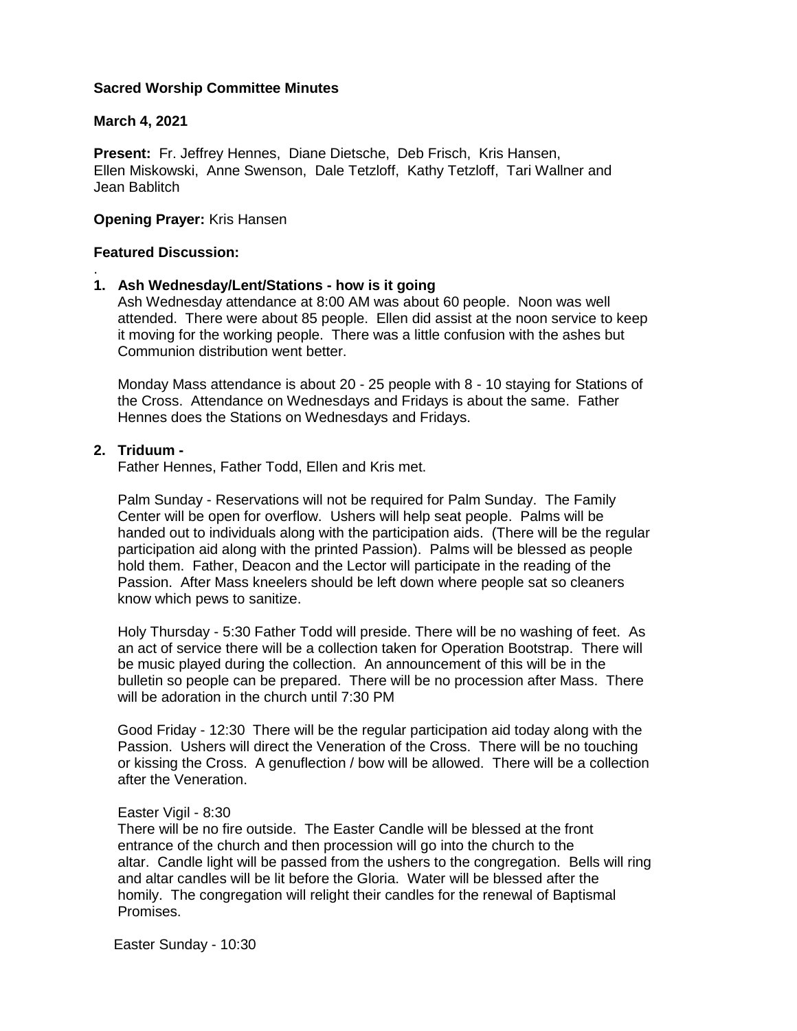## **Sacred Worship Committee Minutes**

## **March 4, 2021**

**Present:** Fr. Jeffrey Hennes, Diane Dietsche, Deb Frisch, Kris Hansen, Ellen Miskowski, Anne Swenson, Dale Tetzloff, Kathy Tetzloff, Tari Wallner and Jean Bablitch

## **Opening Prayer:** Kris Hansen

### **Featured Discussion:**

.

#### **1. Ash Wednesday/Lent/Stations - how is it going**

 Ash Wednesday attendance at 8:00 AM was about 60 people. Noon was well attended. There were about 85 people. Ellen did assist at the noon service to keep it moving for the working people. There was a little confusion with the ashes but Communion distribution went better.

 Monday Mass attendance is about 20 - 25 people with 8 - 10 staying for Stations of the Cross. Attendance on Wednesdays and Fridays is about the same. Father Hennes does the Stations on Wednesdays and Fridays.

# **2. Triduum -**

Father Hennes, Father Todd, Ellen and Kris met.

 Palm Sunday - Reservations will not be required for Palm Sunday. The Family Center will be open for overflow. Ushers will help seat people. Palms will be handed out to individuals along with the participation aids. (There will be the regular participation aid along with the printed Passion). Palms will be blessed as people hold them. Father, Deacon and the Lector will participate in the reading of the Passion. After Mass kneelers should be left down where people sat so cleaners know which pews to sanitize.

 Holy Thursday - 5:30 Father Todd will preside. There will be no washing of feet. As an act of service there will be a collection taken for Operation Bootstrap. There will be music played during the collection. An announcement of this will be in the bulletin so people can be prepared. There will be no procession after Mass. There will be adoration in the church until 7:30 PM

 Good Friday - 12:30 There will be the regular participation aid today along with the Passion. Ushers will direct the Veneration of the Cross. There will be no touching or kissing the Cross. A genuflection / bow will be allowed. There will be a collection after the Veneration.

#### Easter Vigil - 8:30

 There will be no fire outside. The Easter Candle will be blessed at the front entrance of the church and then procession will go into the church to the altar. Candle light will be passed from the ushers to the congregation. Bells will ring and altar candles will be lit before the Gloria. Water will be blessed after the homily. The congregation will relight their candles for the renewal of Baptismal Promises.

Easter Sunday - 10:30